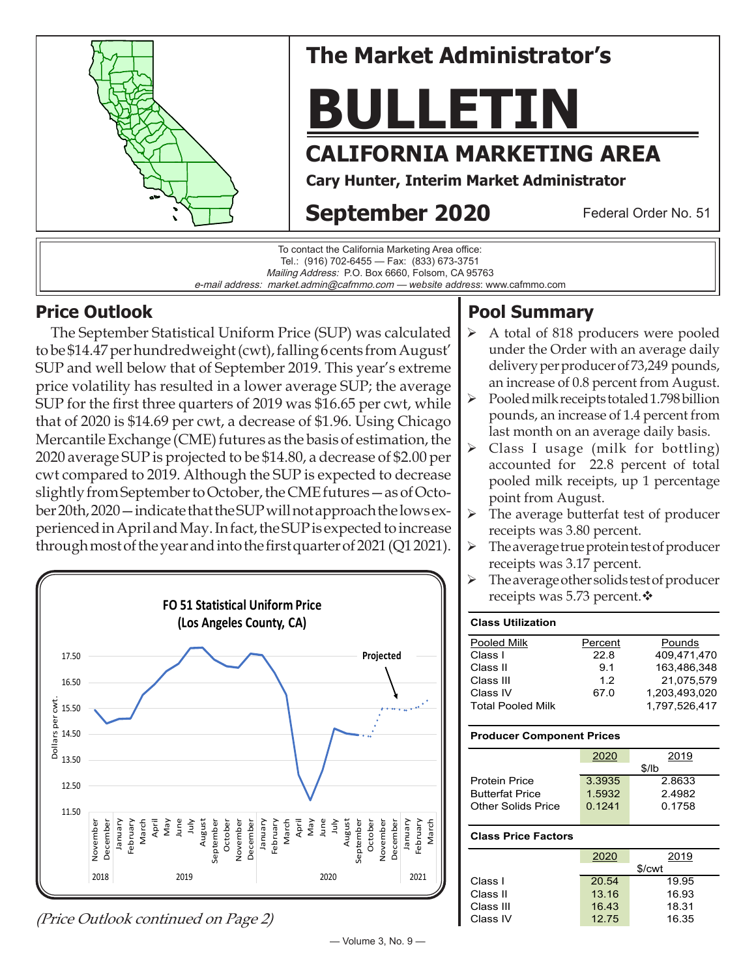



### **Price Outlook**

 The September Statistical Uniform Price (SUP) was calculated to be \$14.47 per hundredweight (cwt), falling 6 cents from August' SUP and well below that of September 2019. This year's extreme price volatility has resulted in a lower average SUP; the average SUP for the first three quarters of 2019 was \$16.65 per cwt, while that of 2020 is \$14.69 per cwt, a decrease of \$1.96. Using Chicago Mercantile Exchange (CME) futures as the basis of estimation, the 2020 average SUP is projected to be \$14.80, a decrease of \$2.00 per cwt compared to 2019. Although the SUP is expected to decrease slightly from September to October, the CME futures—as of October 20th, 2020—indicate that the SUP will not approach the lows experienced in April and May. In fact, the SUP is expected to increase through most of the year and into the first quarter of 2021 (Q1 2021).



(Price Outlook continued on Page 2)

# **Pool Summary**

- $\triangleright$  A total of 818 producers were pooled under the Order with an average daily delivery per producer of 73,249 pounds, an increase of 0.8 percent from August.
- $\triangleright$  Pooled milk receipts totaled 1.798 billion pounds, an increase of 1.4 percent from last month on an average daily basis.
- Class I usage (milk for bottling) accounted for 22.8 percent of total pooled milk receipts, up 1 percentage point from August.
- $\triangleright$  The average butterfat test of producer receipts was 3.80 percent.
- The average true protein test of producer receipts was 3.17 percent.
- $\triangleright$  The average other solids test of producer receipts was 5.73 percent. $\mathbf{\hat{*}}$

| <b>Class Utilization</b> |         |               |
|--------------------------|---------|---------------|
| Pooled Milk              | Percent | Pounds        |
| Class I                  | 22.8    | 409.471.470   |
| Class II                 | 9.1     | 163.486.348   |
| Class III                | 12      | 21,075,579    |
| Class IV                 | 67.0    | 1,203,493,020 |
| <b>Total Pooled Milk</b> |         | 1.797.526.417 |

### **Producer Component Prices**

|                           | 2020   | 2019   |  |
|---------------------------|--------|--------|--|
|                           | \$/lb  |        |  |
| <b>Protein Price</b>      | 3.3935 | 2.8633 |  |
| <b>Butterfat Price</b>    | 1.5932 | 24982  |  |
| <b>Other Solids Price</b> | 0.1241 | 0.1758 |  |
|                           |        |        |  |

#### **Class Price Factors**

|           | 2020   | 2019  |  |
|-----------|--------|-------|--|
|           | \$/cwt |       |  |
| Class I   | 20.54  | 19.95 |  |
| Class II  | 13.16  | 16.93 |  |
| Class III | 16.43  | 18.31 |  |
| Class IV  | 12.75  | 16.35 |  |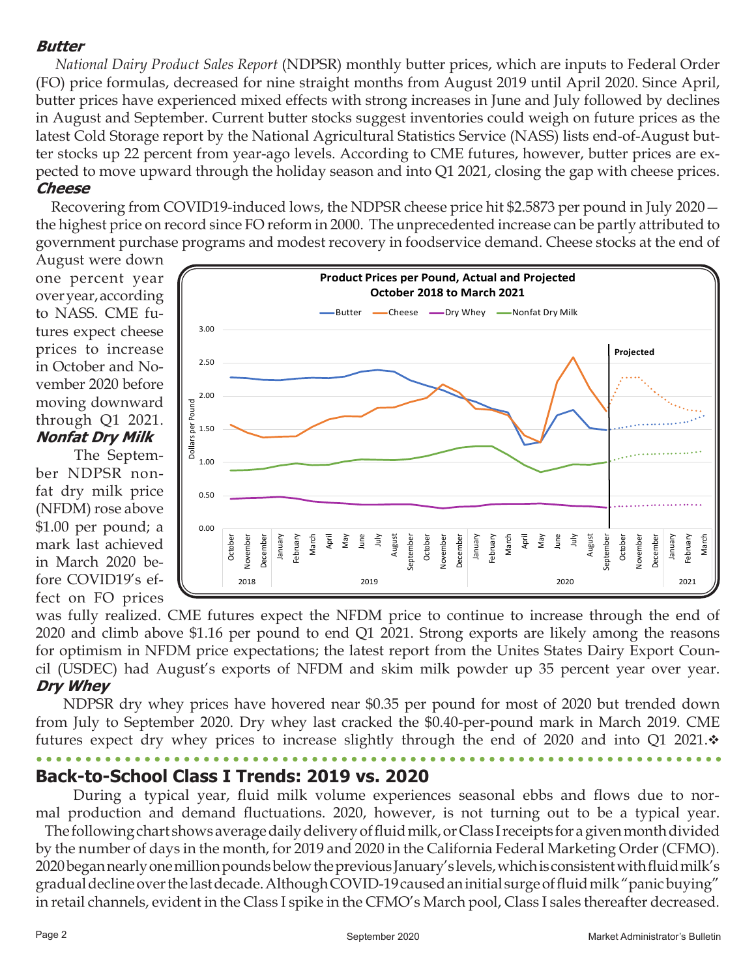### **Butter**

 *National Dairy Product Sales Report* (NDPSR) monthly butter prices, which are inputs to Federal Order (FO) price formulas, decreased for nine straight months from August 2019 until April 2020. Since April, butter prices have experienced mixed effects with strong increases in June and July followed by declines in August and September. Current butter stocks suggest inventories could weigh on future prices as the latest Cold Storage report by the National Agricultural Statistics Service (NASS) lists end-of-August butter stocks up 22 percent from year-ago levels. According to CME futures, however, butter prices are expected to move upward through the holiday season and into Q1 2021, closing the gap with cheese prices. **Cheese**

 Recovering from COVID19-induced lows, the NDPSR cheese price hit \$2.5873 per pound in July 2020 the highest price on record since FO reform in 2000. The unprecedented increase can be partly attributed to government purchase programs and modest recovery in foodservice demand. Cheese stocks at the end of

August were down one percent year over year, according to NASS. CME futures expect cheese prices to increase in October and November 2020 before moving downward through Q1 2021. **Nonfat Dry Milk**

 The September NDPSR nonfat dry milk price (NFDM) rose above \$1.00 per pound; a mark last achieved in March 2020 before COVID19's effect on FO prices



was fully realized. CME futures expect the NFDM price to continue to increase through the end of 2020 and climb above \$1.16 per pound to end Q1 2021. Strong exports are likely among the reasons for optimism in NFDM price expectations; the latest report from the Unites States Dairy Export Council (USDEC) had August's exports of NFDM and skim milk powder up 35 percent year over year. **Dry Whey**

 NDPSR dry whey prices have hovered near \$0.35 per pound for most of 2020 but trended down from July to September 2020. Dry whey last cracked the \$0.40-per-pound mark in March 2019. CME futures expect dry whey prices to increase slightly through the end of 2020 and into Q1 2021. $\cdot$ 

### **Back-to-School Class I Trends: 2019 vs. 2020**

 During a typical year, fluid milk volume experiences seasonal ebbs and flows due to normal production and demand fluctuations. 2020, however, is not turning out to be a typical year.

 The following chart shows average daily delivery of fluid milk, or Class I receipts for a given month divided by the number of days in the month, for 2019 and 2020 in the California Federal Marketing Order (CFMO). 2020 began nearly one million pounds below the previous January's levels, which is consistent with fluid milk's gradual decline over the last decade. Although COVID-19 caused an initial surge of fluid milk "panic buying" in retail channels, evident in the Class I spike in the CFMO's March pool, Class I sales thereafter decreased.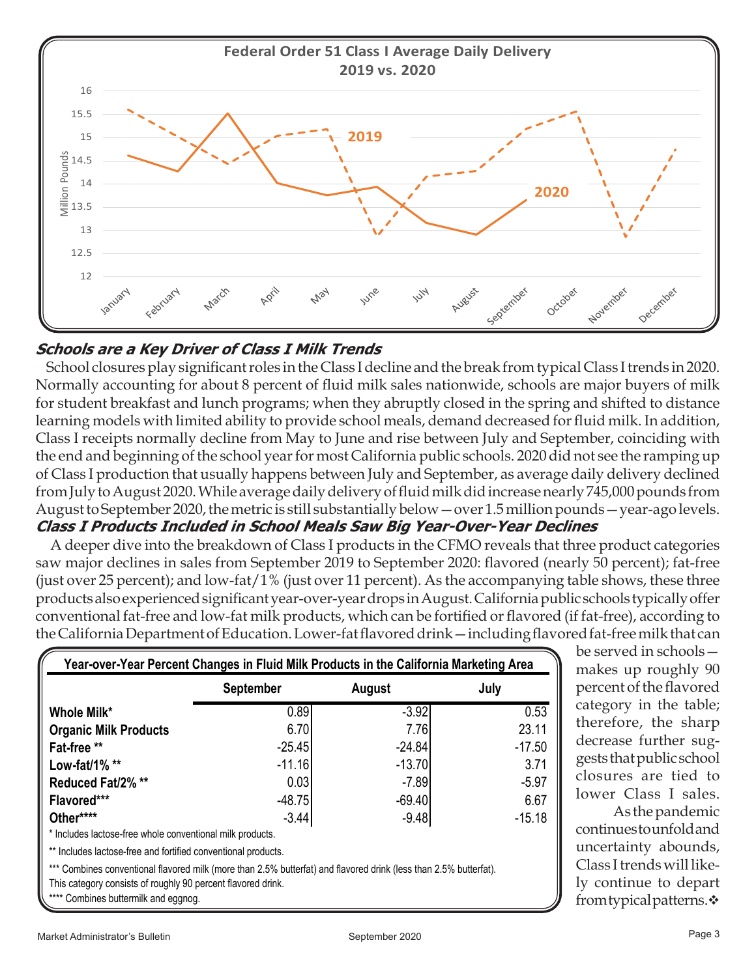

### **Schools are a Key Driver of Class I Milk Trends**

 School closures play significant roles in the Class I decline and the break from typical Class I trends in 2020. Normally accounting for about 8 percent of fluid milk sales nationwide, schools are major buyers of milk for student breakfast and lunch programs; when they abruptly closed in the spring and shifted to distance learning models with limited ability to provide school meals, demand decreased for fluid milk. In addition, Class I receipts normally decline from May to June and rise between July and September, coinciding with the end and beginning of the school year for most California public schools. 2020 did not see the ramping up of Class I production that usually happens between July and September, as average daily delivery declined from July to August 2020. While average daily delivery of fluid milk did increase nearly 745,000 pounds from August to September 2020, the metric is still substantially below—over 1.5 million pounds—year-ago levels. **Class I Products Included in School Meals Saw Big Year-Over-Year Declines**

 A deeper dive into the breakdown of Class I products in the CFMO reveals that three product categories saw major declines in sales from September 2019 to September 2020: flavored (nearly 50 percent); fat-free (just over 25 percent); and low-fat/1% (just over 11 percent). As the accompanying table shows, these three products also experienced significant year-over-year drops in August. California public schools typically offer conventional fat-free and low-fat milk products, which can be fortified or flavored (if fat-free), according to the California Department of Education. Lower-fat flavored drink—including flavored fat-free milk that can

|                              | <b>September</b> | August   | July     |
|------------------------------|------------------|----------|----------|
| Whole Milk*                  | 0.89             | $-3.92$  | 0.53     |
| <b>Organic Milk Products</b> | 6.70             | 7.76     | 23.11    |
| Fat-free **                  | $-25.45$         | $-24.84$ | $-17.50$ |
| Low-fat/1% $**$              | $-11.16$         | $-13.70$ | 3.71     |
| Reduced Fat/2%**             | 0.03             | $-7.89$  | $-5.97$  |
| Flavored***                  | $-48.75$         | $-69.40$ | 6.67     |
| Other****                    | $-3.44$          | $-9.48$  | $-15.18$ |

\*\* Includes lactose-free and fortified conventional products.

\*\*\* Combines conventional flavored milk (more than 2.5% butterfat) and flavored drink (less than 2.5% butterfat).

This category consists of roughly 90 percent flavored drink.

\*\*\*\* Combines buttermilk and eggnog.

category in the table; therefore, the sharp decrease further suggests that public school closures are tied to lower Class I sales. As the pandemic continues to unfold and

be served in schools makes up roughly 90 percent of the flavored

uncertainty abounds, Class I trends will likely continue to depart from typical patterns. $\div$